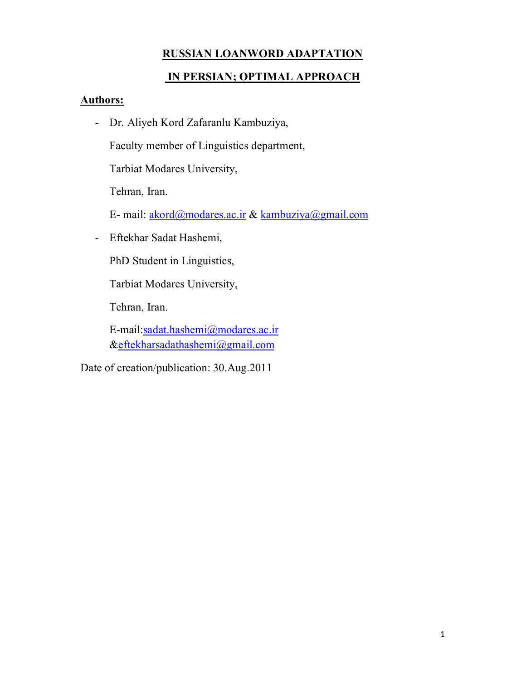### **RUSSIAN LOANWORD ADAPTATION**

### **IN PERSIAN; OPTIMAL APPROACH**

#### **Authors:**

- Dr. Aliyeh Kord Zafaranlu Kambuziya,

Faculty member of Linguistics department,

Tarbiat Modares University,

Tehran, Iran.

E- mail: akord@modares.ac.ir & kambuziya@gmail.com

- Eftekhar Sadat Hashemi,

PhD Student in Linguistics,

Tarbiat Modares University,

Tehran, Iran.

E-mail:sadat.hashemi@modares.ac.ir &eftekharsadathashemi@gmail.com

Date of creation/publication: 30.Aug.2011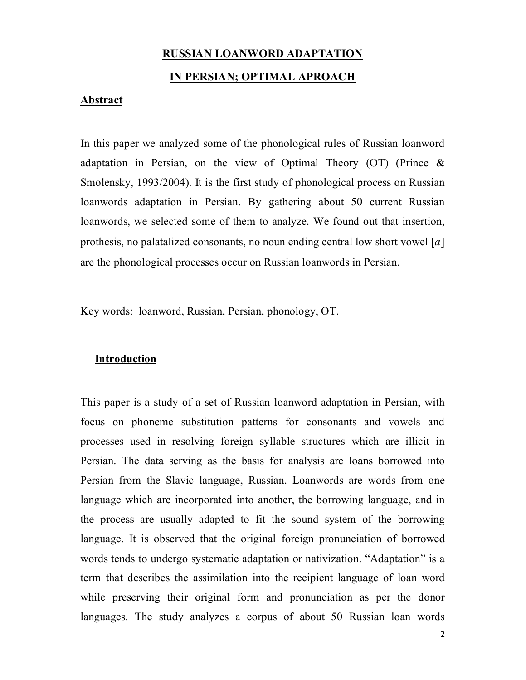#### **RUSSIAN LOANWORD ADAPTATION**

#### **IN PERSIAN; OPTIMAL APROACH**

#### **Abstract**

In this paper we analyzed some of the phonological rules of Russian loanword adaptation in Persian, on the view of Optimal Theory (OT) (Prince  $\&$ Smolensky, 1993/2004). It is the first study of phonological process on Russian loanwords adaptation in Persian. By gathering about 50 current Russian loanwords, we selected some of them to analyze. We found out that insertion, prothesis, no palatalized consonants, no noun ending central low short vowel  $[a]$ are the phonological processes occur on Russian loanwords in Persian.

Key words: loanword, Russian, Persian, phonology, OT.

#### **Introduction**

This paper is a study of a set of Russian loanword adaptation in Persian, with focus on phoneme substitution patterns for consonants and vowels and processes used in resolving foreign syllable structures which are illicit in Persian. The data serving as the basis for analysis are loans borrowed into Persian from the Slavic language, Russian. Loanwords are words from one language which are incorporated into another, the borrowing language, and in the process are usually adapted to fit the sound system of the borrowing language. It is observed that the original foreign pronunciation of borrowed words tends to undergo systematic adaptation or nativization. "Adaptation" is a term that describes the assimilation into the recipient language of loan word while preserving their original form and pronunciation as per the donor languages. The study analyzes a corpus of about 50 Russian loan words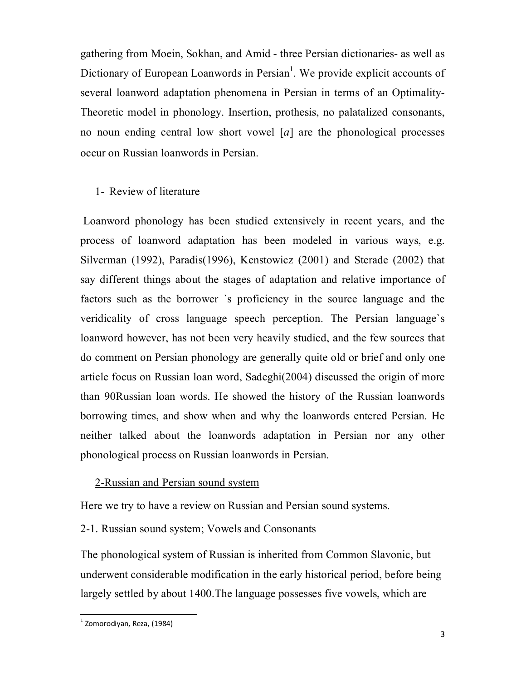gathering from Moein, Sokhan, and Amid - three Persian dictionaries- as well as Dictionary of European Loanwords in Persian<sup>1</sup>. We provide explicit accounts of several loanword adaptation phenomena in Persian in terms of an Optimality-Theoretic model in phonology. Insertion, prothesis, no palatalized consonants, no noun ending central low short vowel  $[a]$  are the phonological processes occur on Russian loanwords in Persian.

#### 1- Review of literature

Loanword phonology has been studied extensively in recent years, and the process of loanword adaptation has been modeled in various ways, e.g. Silverman (1992), Paradis(1996), Kenstowicz (2001) and Sterade (2002) that say different things about the stages of adaptation and relative importance of factors such as the borrower `s proficiency in the source language and the veridicality of cross language speech perception. The Persian language`s loanword however, has not been very heavily studied, and the few sources that do comment on Persian phonology are generally quite old or brief and only one article focus on Russian loan word, Sadeghi(2004) discussed the origin of more than 90Russian loan words. He showed the history of the Russian loanwords borrowing times, and show when and why the loanwords entered Persian. He neither talked about the loanwords adaptation in Persian nor any other phonological process on Russian loanwords in Persian.

#### 2-Russian and Persian sound system

Here we try to have a review on Russian and Persian sound systems.

2-1. Russian sound system; Vowels and Consonants

The phonological system of Russian is inherited from Common Slavonic, but underwent considerable modification in the early historical period, before being largely settled by about 1400.The language possesses five vowels, which are

<sup>-&</sup>lt;br><sup>1</sup> Zomorodiyan, Reza, (1984)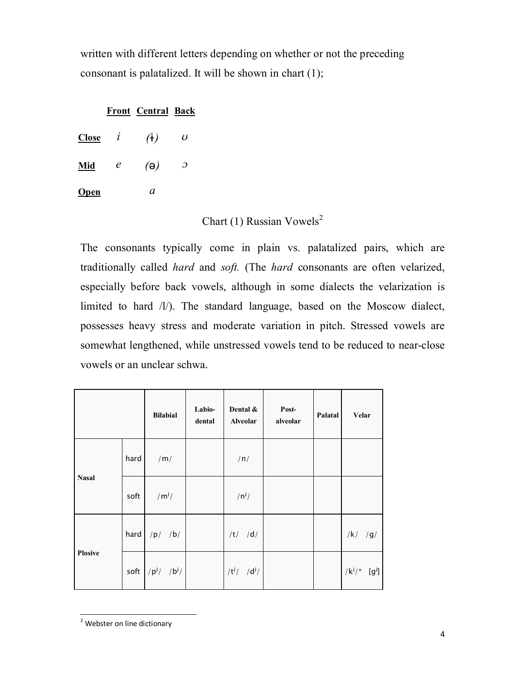written with different letters depending on whether or not the preceding consonant is palatalized. It will be shown in chart (1);

#### **Front Central Back**

| <b>Close</b> | l | $(\dagger)$ | U |
|--------------|---|-------------|---|
| Mid          | e | $(\theta)$  | э |
| <b>Open</b>  |   | a           |   |

# Chart (1) Russian Vowels<sup>2</sup>

The consonants typically come in plain vs. palatalized pairs, which are traditionally called *hard* and *soft.* (The *hard* consonants are often velarized, especially before back vowels, although in some dialects the velarization is limited to hard /l/). The standard language, based on the Moscow dialect, possesses heavy stress and moderate variation in pitch. Stressed vowels are somewhat lengthened, while unstressed vowels tend to be reduced to near-close vowels or an unclear schwa.

|                |      | <b>Bilabial</b> | Labio-<br>dental | Dental &<br><b>Alveolar</b> | Post-<br>alveolar | Palatal | Velar                       |
|----------------|------|-----------------|------------------|-----------------------------|-------------------|---------|-----------------------------|
|                | hard | /m/             |                  | /n/                         |                   |         |                             |
| <b>Nasal</b>   | soft | $/m^{j}/$       |                  | $/n^{j}/$                   |                   |         |                             |
|                | hard | $/p/$ /b/       |                  | $/t/$ /d/                   |                   |         | $/k/$ /g/                   |
| <b>Plosive</b> | soft | $ p^j $ $ b^j $ |                  | $/t^{j}/$ /d <sup>j</sup> / |                   |         | $/k^{j}/$ [g <sup>j</sup> ] |

<sup>1</sup> <sup>2</sup> Webster on line dictionary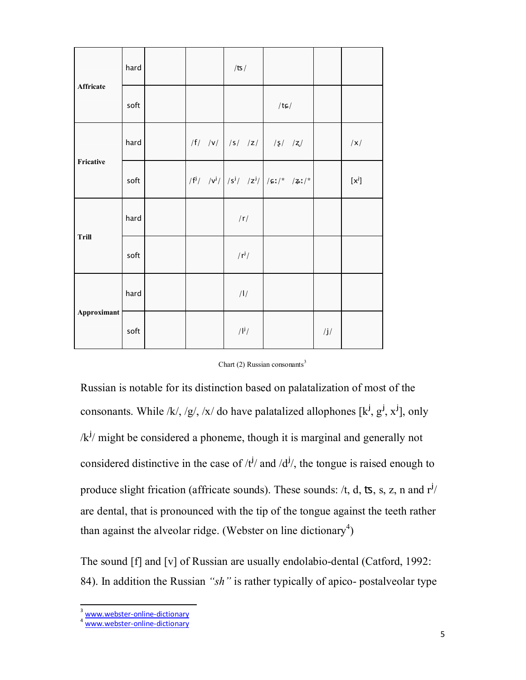|              | hard |  | /ts/                  |                                                  |                 |         |
|--------------|------|--|-----------------------|--------------------------------------------------|-----------------|---------|
| Affricate    | soft |  |                       | $/t$ c $/$                                       |                 |         |
| Fricative    | hard |  |                       | $ f $ /v/ /s/ /z/ /s/ /z/                        |                 | x       |
|              | soft |  |                       | $ f^{j}/ y^{j}/ s^{j}/ z^{j}/ z^{j}/ s^{j} ^{*}$ |                 | $[x^j]$ |
|              | hard |  | /r/                   |                                                  |                 |         |
| <b>Trill</b> | soft |  | $/r^{j}/$             |                                                  |                 |         |
|              | hard |  | / $\frac{1}{2}$       |                                                  |                 |         |
| Approximant  | soft |  | $/$ <sup> j</sup> $/$ |                                                  | $\int$ j $\int$ |         |

|  |  | Chart (2) Russian consonants <sup>3</sup> |
|--|--|-------------------------------------------|
|--|--|-------------------------------------------|

Russian is notable for its distinction based on palatalization of most of the consonants. While /k/, /g/, /x/ do have palatalized allophones [k<sup>j</sup>, g<sup>j</sup>, x<sup>j</sup>], only  $/k^{j}$ / might be considered a phoneme, though it is marginal and generally not considered distinctive in the case of  $/t^{j}$  and  $/d^{j}$ , the tongue is raised enough to produce slight frication (affricate sounds). These sounds: /t, d, ts, s, z, n and  $r^{j}$ / are dental, that is pronounced with the tip of the tongue against the teeth rather than against the alveolar ridge. (Webster on line dictionary<sup>4</sup>)

The sound [f] and [v] of Russian are usually endolabio-dental (Catford, 1992: 84). In addition the Russian *"sh"* is rather typically of apico- postalveolar type

1

<sup>&</sup>lt;sup>3</sup> www.webster-online-dictionary

<sup>4</sup> www.webster-online-dictionary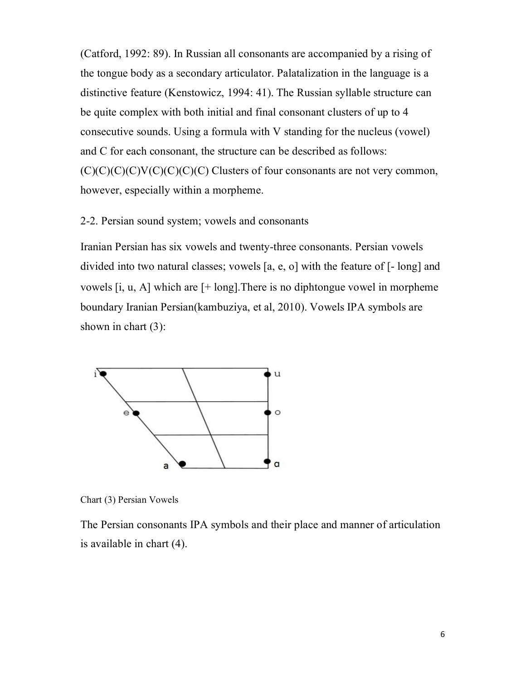(Catford, 1992: 89). In Russian all consonants are accompanied by a rising of the tongue body as a secondary articulator. Palatalization in the language is a distinctive feature (Kenstowicz, 1994: 41). The Russian syllable structure can be quite complex with both initial and final consonant clusters of up to 4 consecutive sounds. Using a formula with V standing for the nucleus (vowel) and C for each consonant, the structure can be described as follows:  $(C)(C)(C)(C)(C)(C)(C)$  Clusters of four consonants are not very common, however, especially within a morpheme.

#### 2-2. Persian sound system; vowels and consonants

Iranian Persian has six vowels and twenty-three consonants. Persian vowels divided into two natural classes; vowels [a, e, o] with the feature of [- long] and vowels  $[i, u, A]$  which are  $[+$  long]. There is no diphtongue vowel in morpheme boundary Iranian Persian(kambuziya, et al, 2010). Vowels IPA symbols are shown in chart  $(3)$ :



Chart (3) Persian Vowels

The Persian consonants IPA symbols and their place and manner of articulation is available in chart (4).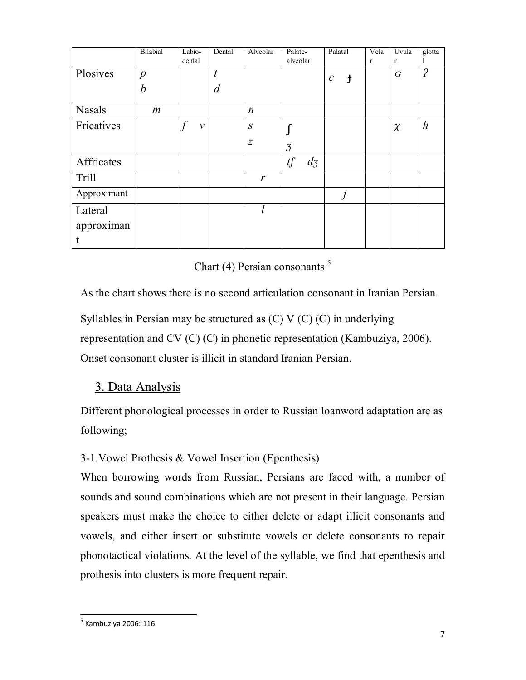|               | Bilabial         | Labio-<br>dental | Dental           | Alveolar         | Palate-<br>alveolar | Palatal                     | Vela<br>$\mathbf{r}$ | Uvula<br>$\mathbf{r}$ | glotta<br>1      |
|---------------|------------------|------------------|------------------|------------------|---------------------|-----------------------------|----------------------|-----------------------|------------------|
| Plosives      | $\boldsymbol{p}$ |                  | $\boldsymbol{t}$ |                  |                     | $\mathcal C$<br>$\mathbf t$ |                      | $\boldsymbol{G}$      | $\overline{P}$   |
|               | $\boldsymbol{b}$ |                  | $\overline{d}$   |                  |                     |                             |                      |                       |                  |
| <b>Nasals</b> | $\boldsymbol{m}$ |                  |                  | $\boldsymbol{n}$ |                     |                             |                      |                       |                  |
| Fricatives    |                  | $\mathcal V$     |                  | $\boldsymbol{S}$ |                     |                             |                      | $\chi$                | $\boldsymbol{h}$ |
|               |                  |                  |                  | Ζ                | $\overline{3}$      |                             |                      |                       |                  |
| Affricates    |                  |                  |                  |                  | tf<br>$d_3$         |                             |                      |                       |                  |
| <b>Trill</b>  |                  |                  |                  | r                |                     |                             |                      |                       |                  |
| Approximant   |                  |                  |                  |                  |                     | Ĵ                           |                      |                       |                  |
| Lateral       |                  |                  |                  |                  |                     |                             |                      |                       |                  |
| approximan    |                  |                  |                  |                  |                     |                             |                      |                       |                  |
|               |                  |                  |                  |                  |                     |                             |                      |                       |                  |

Chart (4) Persian consonants  $5$ 

As the chart shows there is no second articulation consonant in Iranian Persian. Syllables in Persian may be structured as (C) V (C) (C) in underlying representation and CV (C) (C) in phonetic representation (Kambuziya, 2006). Onset consonant cluster is illicit in standard Iranian Persian.

## 3. Data Analysis

Different phonological processes in order to Russian loanword adaptation are as following;

## 3-1.Vowel Prothesis & Vowel Insertion (Epenthesis)

When borrowing words from Russian, Persians are faced with, a number of sounds and sound combinations which are not present in their language. Persian speakers must make the choice to either delete or adapt illicit consonants and vowels, and either insert or substitute vowels or delete consonants to repair phonotactical violations. At the level of the syllable, we find that epenthesis and prothesis into clusters is more frequent repair.

<sup>-&</sup>lt;br><sup>5</sup> Kambuziya 2006: 116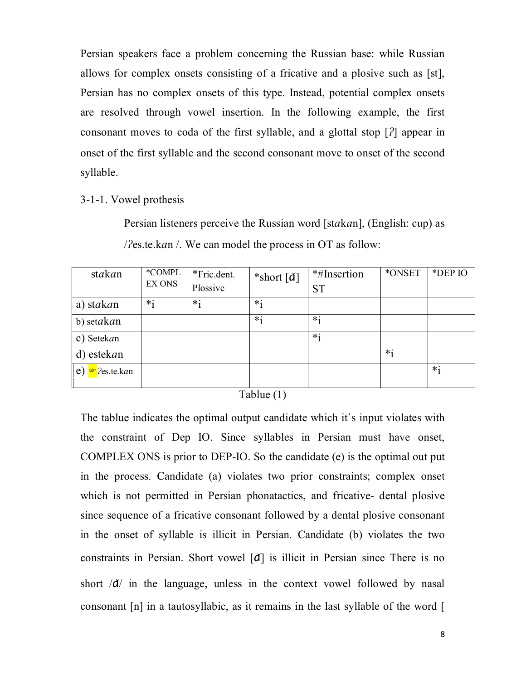Persian speakers face a problem concerning the Russian base: while Russian allows for complex onsets consisting of a fricative and a plosive such as [st], Persian has no complex onsets of this type. Instead, potential complex onsets are resolved through vowel insertion. In the following example, the first consonant moves to coda of the first syllable, and a glottal stop  $[2]$  appear in onset of the first syllable and the second consonant move to onset of the second syllable.

3-1-1. Vowel prothesis

Persian listeners perceive the Russian word [stakan], (English: cup) as / $\gamma$ es.te.kan /. We can model the process in OT as follow:

| stakan                         | *COMPL  | *Fric.dent. | *short $\lceil d \rceil$ | *#Insertion | *ONSET  | *DEP IO |
|--------------------------------|---------|-------------|--------------------------|-------------|---------|---------|
|                                | EX ONS  | Plossive    |                          | <b>ST</b>   |         |         |
| a) stakan                      | $*_{1}$ | $*_{1}$     | $*$ <sub>1</sub>         |             |         |         |
| b) setakan                     |         |             | $*_1$                    | $*_{i}$     |         |         |
| c) Setekan                     |         |             |                          | $*_{i}$     |         |         |
| d) estekan                     |         |             |                          |             | $*_{1}$ |         |
| e)<br>$\mathcal{F}$ ?es.te.kan |         |             |                          |             |         | $*_{1}$ |

Tablue (1)

The tablue indicates the optimal output candidate which it`s input violates with the constraint of Dep IO. Since syllables in Persian must have onset, COMPLEX ONS is prior to DEP-IO. So the candidate (e) is the optimal out put in the process. Candidate (a) violates two prior constraints; complex onset which is not permitted in Persian phonatactics, and fricative- dental plosive since sequence of a fricative consonant followed by a dental plosive consonant in the onset of syllable is illicit in Persian. Candidate (b) violates the two constraints in Persian. Short vowel [ɑ] is illicit in Persian since There is no short  $\overline{a}$  in the language, unless in the context vowel followed by nasal consonant [n] in a tautosyllabic, as it remains in the last syllable of the word [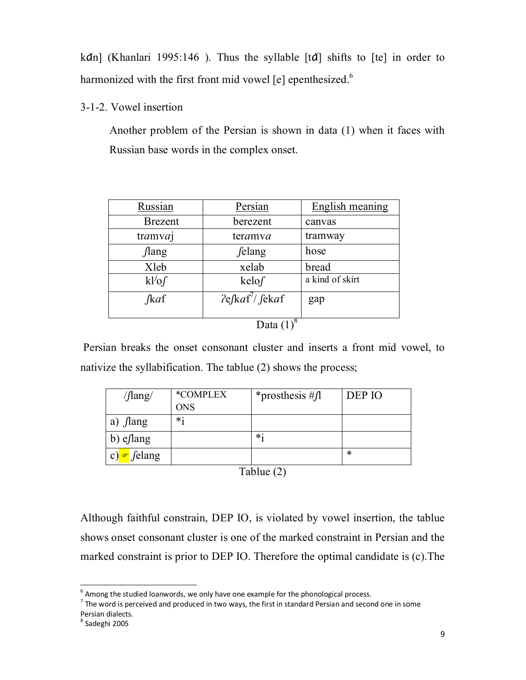k $\alpha$ n] (Khanlari 1995:146). Thus the syllable  $[t\alpha]$  shifts to  $[t\alpha]$  in order to harmonized with the first front mid vowel [e] epenthesized.<sup>6</sup>

3-1-2. Vowel insertion

Another problem of the Persian is shown in data (1) when it faces with Russian base words in the complex onset.

| Russian        | Persian                      | English meaning |  |  |
|----------------|------------------------------|-----------------|--|--|
| <b>Brezent</b> | berezent                     | canvas          |  |  |
| tramvaj        | teramya                      | tramway         |  |  |
| <i>f</i> lang  | <i>felang</i>                | hose            |  |  |
| Xleb           | xelab                        | bread           |  |  |
| $kl^{j}$ of    | kelof                        | a kind of skirt |  |  |
| $\int$ kaf     | $2e\int kaf^7\int \int ekaf$ | gap             |  |  |
|                |                              |                 |  |  |
| Data           |                              |                 |  |  |

Persian breaks the onset consonant cluster and inserts a front mid vowel, to nativize the syllabification. The tablue (2) shows the process;

| $\sqrt{\text{lang}}$ | *COMPLEX   | *prosthesis # $\int$ | DEP IO |
|----------------------|------------|----------------------|--------|
|                      | <b>ONS</b> |                      |        |
| $\int$ lang<br>a)    | $*$        |                      |        |
| b) eslang            |            | $*_1$                |        |
| c) $\bullet$ felang  |            |                      | *      |

Tablue (2)

Although faithful constrain, DEP IO, is violated by vowel insertion, the tablue shows onset consonant cluster is one of the marked constraint in Persian and the marked constraint is prior to DEP IO. Therefore the optimal candidate is (c).The

 6 Among the studied loanwords, we only have one example for the phonological process.

 $<sup>7</sup>$  The word is perceived and produced in two ways, the first in standard Persian and second one in some</sup> Persian dialects.

<sup>8</sup> Sadeghi 2005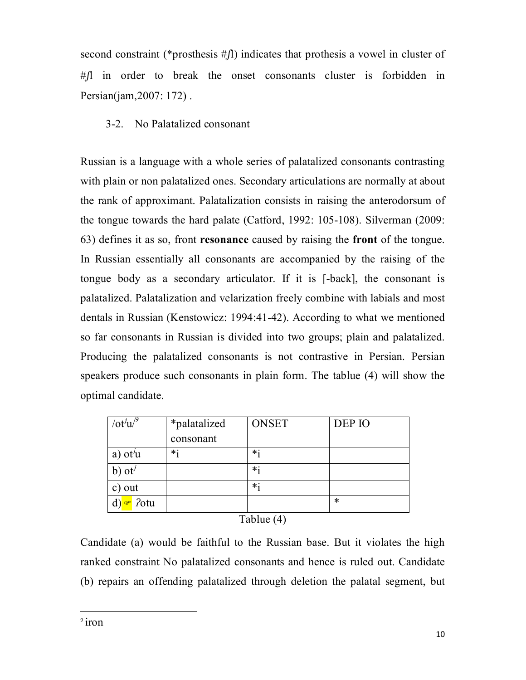second constraint (\*prosthesis  $\#$  ) indicates that prothesis a vowel in cluster of  $#$  in order to break the onset consonants cluster is forbidden in Persian(jam,2007: 172) .

### 3-2. No Palatalized consonant

Russian is a language with a whole series of palatalized consonants contrasting with plain or non palatalized ones. Secondary articulations are normally at about the rank of approximant. Palatalization consists in raising the anterodorsum of the tongue towards the hard palate (Catford, 1992: 105-108). Silverman (2009: 63) defines it as so, front **resonance** caused by raising the **front** of the tongue. In Russian essentially all consonants are accompanied by the raising of the tongue body as a secondary articulator. If it is [-back], the consonant is palatalized. Palatalization and velarization freely combine with labials and most dentals in Russian (Kenstowicz: 1994:41-42). According to what we mentioned so far consonants in Russian is divided into two groups; plain and palatalized. Producing the palatalized consonants is not contrastive in Persian. Persian speakers produce such consonants in plain form. The tablue (4) will show the optimal candidate.

| $\int_0^1 u f(x) dx$     | *palatalized | <b>ONSET</b> | DEP IO |  |
|--------------------------|--------------|--------------|--------|--|
|                          | consonant    |              |        |  |
| a) ot $\dot{u}$          | $*_{1}$      | $*_{1}$      |        |  |
| $b)$ ot <sup>j</sup>     |              | $*_{1}$      |        |  |
| c) out                   |              | $*_{1}$      |        |  |
| <i>Potu</i><br>$\bullet$ |              |              | $\ast$ |  |
| Tablue (4)               |              |              |        |  |

Candidate (a) would be faithful to the Russian base. But it violates the high ranked constraint No palatalized consonants and hence is ruled out. Candidate (b) repairs an offending palatalized through deletion the palatal segment, but

 $\overline{a}$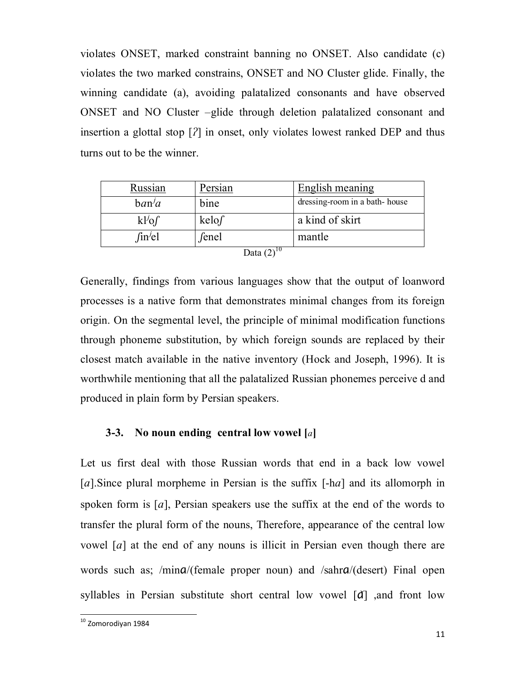violates ONSET, marked constraint banning no ONSET. Also candidate (c) violates the two marked constrains, ONSET and NO Cluster glide. Finally, the winning candidate (a), avoiding palatalized consonants and have observed ONSET and NO Cluster –glide through deletion palatalized consonant and insertion a glottal stop  $[2]$  in onset, only violates lowest ranked DEP and thus turns out to be the winner.

| Russian     | Persian                           | English meaning               |
|-------------|-----------------------------------|-------------------------------|
| ban/a       | bine                              | dressing-room in a bath-house |
| $kl^{j}$ of | $\text{kelof}$                    | a kind of skirt               |
| fin/el      | fenel<br>$\overline{\phantom{a}}$ | mantle                        |

| a Co<br>и | ı |
|-----------|---|
|           |   |

Generally, findings from various languages show that the output of loanword processes is a native form that demonstrates minimal changes from its foreign origin. On the segmental level, the principle of minimal modification functions through phoneme substitution, by which foreign sounds are replaced by their closest match available in the native inventory (Hock and Joseph, 1996). It is worthwhile mentioning that all the palatalized Russian phonemes perceive d and produced in plain form by Persian speakers.

#### **3-3. No noun ending central low vowel []**

Let us first deal with those Russian words that end in a back low vowel [a]. Since plural morpheme in Persian is the suffix  $[-ha]$  and its allomorph in spoken form is [a], Persian speakers use the suffix at the end of the words to transfer the plural form of the nouns, Therefore, appearance of the central low vowel  $[a]$  at the end of any nouns is illicit in Persian even though there are words such as; /mina/(female proper noun) and /sahra/(desert) Final open syllables in Persian substitute short central low vowel [ $d$ ] and front low

1

<sup>&</sup>lt;sup>10</sup> Zomorodiyan 1984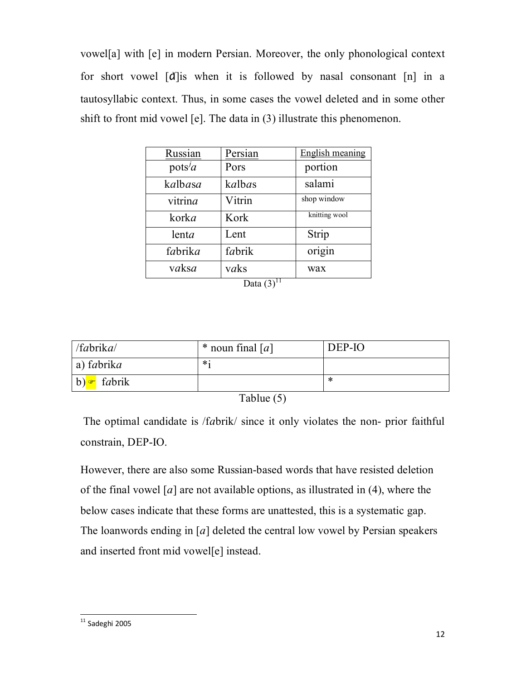vowel[a] with [e] in modern Persian. Moreover, the only phonological context for short vowel  $\lceil d \rceil$  is when it is followed by nasal consonant  $\lceil n \rceil$  in a tautosyllabic context. Thus, in some cases the vowel deleted and in some other shift to front mid vowel [e]. The data in (3) illustrate this phenomenon.

| Russian                          | Persian         | <b>English meaning</b> |
|----------------------------------|-----------------|------------------------|
| pots <sup><math>j_a</math></sup> | Pors            | portion                |
| kalbasa                          | kalbas          | salami                 |
| vitrina                          | Vitrin          | shop window            |
| korka                            | Kork            | knitting wool          |
| lenta                            | Lent            | Strip                  |
| fabrika                          | fabrik          | origin                 |
| vaksa                            | vaks<br>ا المصد | wax                    |

Data  $(3)^{11}$ 

| /fabrika   | * noun final $[a]$ | DEP-IO |  |
|------------|--------------------|--------|--|
| a) fabrika | $\ast$ .           |        |  |
| b) fabrik  |                    | ⋇      |  |
| __ _ _     |                    |        |  |

| Table (5) |  |
|-----------|--|
|           |  |

The optimal candidate is /fabrik/ since it only violates the non- prior faithful constrain, DEP-IO.

However, there are also some Russian-based words that have resisted deletion of the final vowel  $[a]$  are not available options, as illustrated in (4), where the below cases indicate that these forms are unattested, this is a systematic gap. The loanwords ending in  $[a]$  deleted the central low vowel by Persian speakers and inserted front mid vowel[e] instead.

<sup>1</sup>  $11$  Sadeghi 2005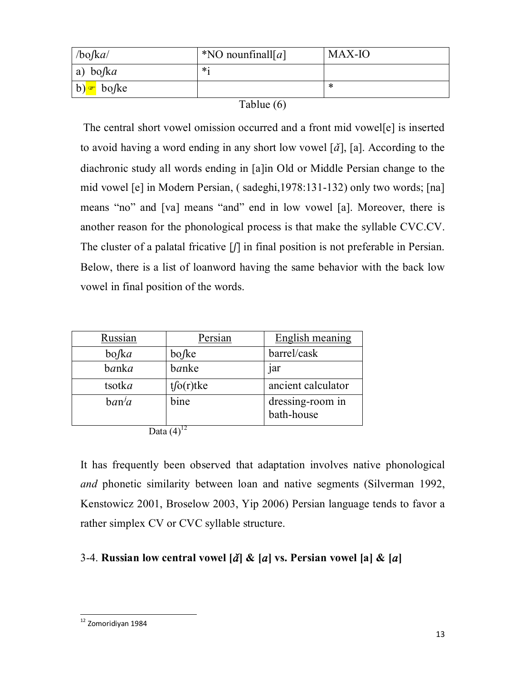| /bofka/  | *NO nounfinall[a] | MAX-IO |
|----------|-------------------|--------|
| a) bofka | $*$               |        |
| b) bo/ke |                   | ∗      |

| Tablue $(6)$ |  |
|--------------|--|
|--------------|--|

The central short vowel omission occurred and a front mid vowel[e] is inserted to avoid having a word ending in any short low vowel  $[\check{a}]$ , [a]. According to the diachronic study all words ending in [a]in Old or Middle Persian change to the mid vowel [e] in Modern Persian, ( sadeghi,1978:131-132) only two words; [na] means "no" and [va] means "and" end in low vowel [a]. Moreover, there is another reason for the phonological process is that make the syllable CVC.CV. The cluster of a palatal fricative  $\left[\int\right]$  in final position is not preferable in Persian. Below, there is a list of loanword having the same behavior with the back low vowel in final position of the words.

| Russian                      | Persian          | English meaning                |
|------------------------------|------------------|--------------------------------|
| $bo$ /ka                     | bo/ke            | barrel/cask                    |
| banka                        | banke            | <sub>1</sub> ar                |
| tsotka                       | $t\int o(r)$ tke | ancient calculator             |
| ban <sup>j</sup> a           | bine             | dressing-room in<br>bath-house |
| $\mathbf{D} \cup \mathbf{A}$ |                  |                                |

Data  $(4)^1$ 

It has frequently been observed that adaptation involves native phonological *and* phonetic similarity between loan and native segments (Silverman 1992, Kenstowicz 2001, Broselow 2003, Yip 2006) Persian language tends to favor a rather simplex CV or CVC syllable structure.

## 3-4. **Russian low central vowel**  $\left[\tilde{a}\right]$  **&**  $\left[a\right]$  **vs. Persian vowel**  $\left[a\right]$  **&**  $\left[a\right]$

<sup>1</sup> <sup>12</sup> Zomoridiyan 1984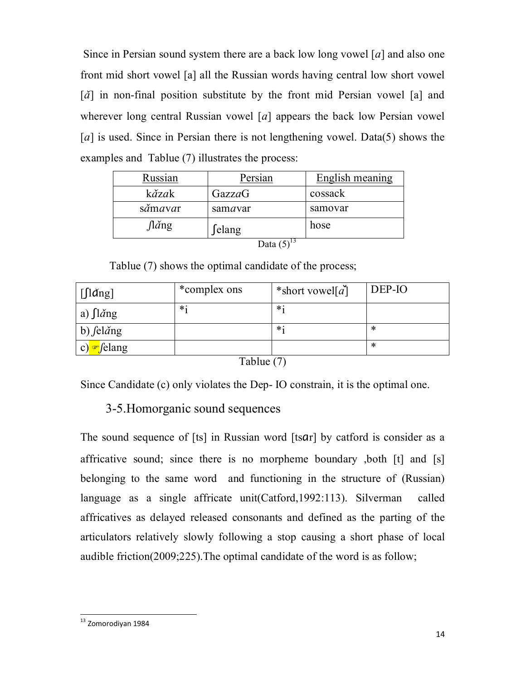Since in Persian sound system there are a back low long vowel  $[a]$  and also one front mid short vowel [a] all the Russian words having central low short vowel  $[\check{a}]$  in non-final position substitute by the front mid Persian vowel [a] and wherever long central Russian vowel  $[a]$  appears the back low Persian vowel [a] is used. Since in Persian there is not lengthening vowel. Data(5) shows the examples and Tablue (7) illustrates the process:

| Russian             | Persian | English meaning |  |
|---------------------|---------|-----------------|--|
| kăzak               | GazzaG  | cossack         |  |
| sămavar             | samavar | samovar         |  |
| $\int \tilde{a}$ ng | ∫elang  | hose            |  |
| l Tata i            |         |                 |  |

Data  $(5)$ 

Tablue (7) shows the optimal candidate of the process;

| $\left[\int \frac{d}{n}g\right]$ | *complex ons | *short vowel[ $a$ ] | DEP-IO |
|----------------------------------|--------------|---------------------|--------|
| a) $\int$ l <i>a</i> ng          | $\ast$       | $\ddot{\ast}$       |        |
| b) $\int$ el <i>a</i> ng         |              | $\ddot{\ast}$       | *      |
| $\epsilon$ /elang<br> c          |              |                     | *      |

Tablue (7)

Since Candidate (c) only violates the Dep- IO constrain, it is the optimal one.

## 3-5.Homorganic sound sequences

The sound sequence of [ts] in Russian word [tsɑr] by catford is consider as a affricative sound; since there is no morpheme boundary ,both [t] and [s] belonging to the same word and functioning in the structure of (Russian) language as a single affricate unit(Catford,1992:113). Silverman called affricatives as delayed released consonants and defined as the parting of the articulators relatively slowly following a stop causing a short phase of local audible friction(2009;225).The optimal candidate of the word is as follow;

<sup>1</sup> <sup>13</sup> Zomorodiyan 1984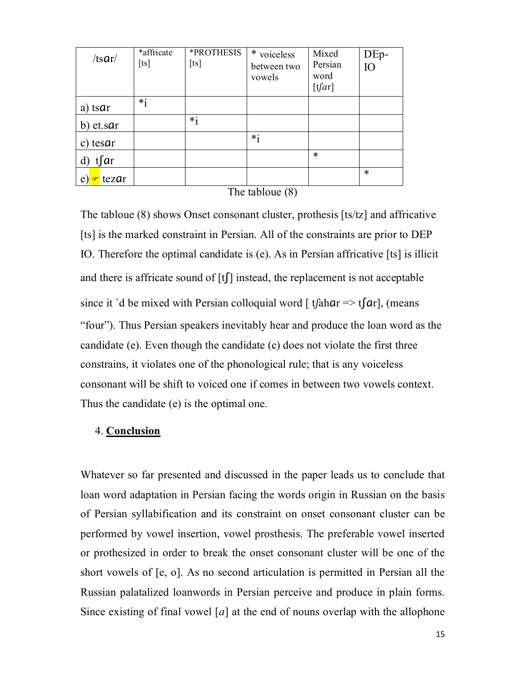| $/ts$ ar/   | *affricate<br>[ts] | *PROTHESIS<br>[ts] | * voiceless<br>between two<br>vowels | Mixed<br>Persian<br>word<br>[tfar] | DEp-<br>IO |
|-------------|--------------------|--------------------|--------------------------------------|------------------------------------|------------|
| a) tsar     | $*_1$              |                    |                                      |                                    |            |
| b) et.sar   |                    | $*_{i}$            |                                      |                                    |            |
| c) tesar    |                    |                    | $*_{i}$                              |                                    |            |
| $t\int dr$  |                    |                    |                                      | $\ast$                             |            |
| tezar<br>e) |                    |                    |                                      |                                    | $\ast$     |

#### The tabloue (8)

The tabloue (8) shows Onset consonant cluster, prothesis [ts/tz] and affricative [ts] is the marked constraint in Persian. All of the constraints are prior to DEP IO. Therefore the optimal candidate is (e). As in Persian affricative [ts] is illicit and there is affricate sound of  $[t]$  instead, the replacement is not acceptable since it `d be mixed with Persian colloquial word  $\int$  tfahar => tfar, (means "four"). Thus Persian speakers inevitably hear and produce the loan word as the candidate (e). Even though the candidate (c) does not violate the first three constrains, it violates one of the phonological rule; that is any voiceless consonant will be shift to voiced one if comes in between two vowels context. Thus the candidate (e) is the optimal one.

#### 4. **Conclusion**

Whatever so far presented and discussed in the paper leads us to conclude that loan word adaptation in Persian facing the words origin in Russian on the basis of Persian syllabification and its constraint on onset consonant cluster can be performed by vowel insertion, vowel prosthesis. The preferable vowel inserted or prothesized in order to break the onset consonant cluster will be one of the short vowels of [e, o]. As no second articulation is permitted in Persian all the Russian palatalized loanwords in Persian perceive and produce in plain forms. Since existing of final vowel [a] at the end of nouns overlap with the allophone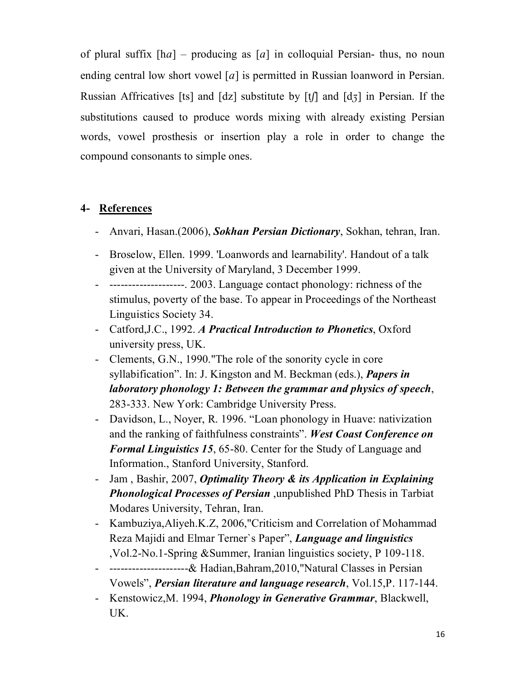of plural suffix  $[ha]$  – producing as  $[a]$  in colloquial Persian- thus, no noun ending central low short vowel [a] is permitted in Russian loanword in Persian. Russian Affricatives [ts] and  $\lceil dz \rceil$  substitute by  $\lceil t \rceil$  and  $\lceil d_5 \rceil$  in Persian. If the substitutions caused to produce words mixing with already existing Persian words, vowel prosthesis or insertion play a role in order to change the compound consonants to simple ones.

## **4- References**

- Anvari, Hasan.(2006), *Sokhan Persian Dictionary*, Sokhan, tehran, Iran.
- Broselow, Ellen. 1999. 'Loanwords and learnability'. Handout of a talk given at the University of Maryland, 3 December 1999.
- --------------------. 2003. Language contact phonology: richness of the stimulus, poverty of the base. To appear in Proceedings of the Northeast Linguistics Society 34.
- Catford,J.C., 1992. *A Practical Introduction to Phonetics*, Oxford university press, UK.
- Clements, G.N., 1990."The role of the sonority cycle in core syllabification". In: J. Kingston and M. Beckman (eds.), *Papers in laboratory phonology 1: Between the grammar and physics of speech*, 283-333. New York: Cambridge University Press.
- Davidson, L., Noyer, R. 1996. "Loan phonology in Huave: nativization and the ranking of faithfulness constraints". *West Coast Conference on Formal Linguistics 15*, 65-80. Center for the Study of Language and Information., Stanford University, Stanford.
- Jam , Bashir, 2007, *Optimality Theory & its Application in Explaining Phonological Processes of Persian* ,unpublished PhD Thesis in Tarbiat Modares University, Tehran, Iran.
- Kambuziya,Aliyeh.K.Z, 2006,"Criticism and Correlation of Mohammad Reza Majidi and Elmar Terner`s Paper", *Language and linguistics* ,Vol.2-No.1-Spring &Summer, Iranian linguistics society, P 109-118.
- ---------------------& Hadian,Bahram,2010,"Natural Classes in Persian Vowels", *Persian literature and language research*, Vol.15,P. 117-144.
- Kenstowicz,M. 1994, *Phonology in Generative Grammar*, Blackwell, UK.